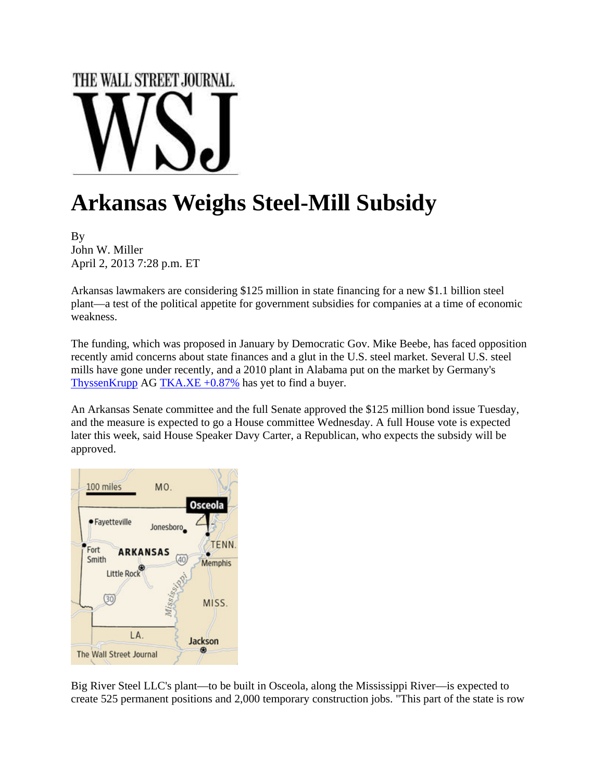## THE WALL STREET JOURNAL.

## **Arkansas Weighs Steel-Mill Subsidy**

By John W. Miller April 2, 2013 7:28 p.m. ET

Arkansas lawmakers are considering \$125 million in state financing for a new \$1.1 billion steel plant—a test of the political appetite for government subsidies for companies at a time of economic weakness.

The funding, which was proposed in January by Democratic Gov. Mike Beebe, has faced opposition recently amid concerns about state finances and a glut in the U.S. steel market. Several U.S. steel mills have gone under recently, and a 2010 plant in Alabama put on the market by Germany's ThyssenKrupp AG TKA.XE  $+0.87\%$  has yet to find a buyer.

An Arkansas Senate committee and the full Senate approved the \$125 million bond issue Tuesday, and the measure is expected to go a House committee Wednesday. A full House vote is expected later this week, said House Speaker Davy Carter, a Republican, who expects the subsidy will be approved.



Big River Steel LLC's plant—to be built in Osceola, along the Mississippi River—is expected to create 525 permanent positions and 2,000 temporary construction jobs. "This part of the state is row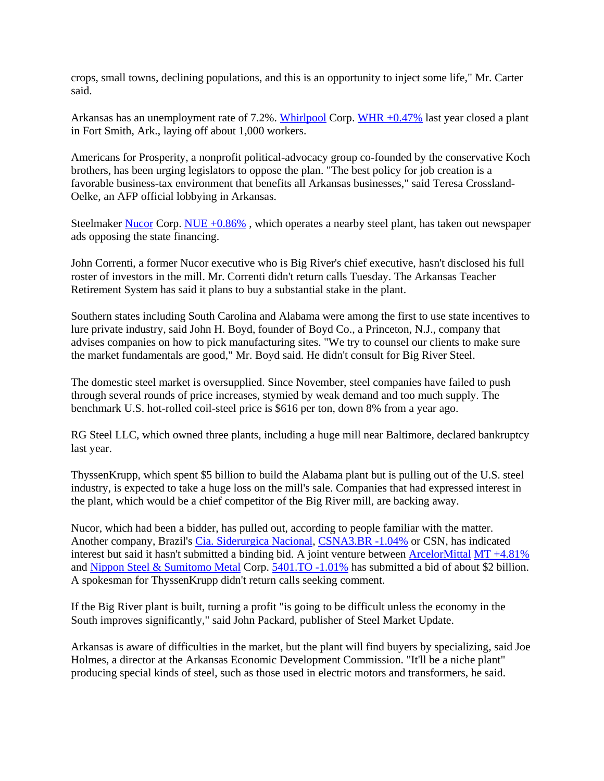crops, small towns, declining populations, and this is an opportunity to inject some life," Mr. Carter said.

Arkansas has an unemployment rate of 7.2%. Whirlpool Corp. WHR +0.47% last year closed a plant in Fort Smith, Ark., laying off about 1,000 workers.

Americans for Prosperity, a nonprofit political-advocacy group co-founded by the conservative Koch brothers, has been urging legislators to oppose the plan. "The best policy for job creation is a favorable business-tax environment that benefits all Arkansas businesses," said Teresa Crossland-Oelke, an AFP official lobbying in Arkansas.

Steelmaker Nucor Corp. NUE +0.86% , which operates a nearby steel plant, has taken out newspaper ads opposing the state financing.

John Correnti, a former Nucor executive who is Big River's chief executive, hasn't disclosed his full roster of investors in the mill. Mr. Correnti didn't return calls Tuesday. The Arkansas Teacher Retirement System has said it plans to buy a substantial stake in the plant.

Southern states including South Carolina and Alabama were among the first to use state incentives to lure private industry, said John H. Boyd, founder of Boyd Co., a Princeton, N.J., company that advises companies on how to pick manufacturing sites. "We try to counsel our clients to make sure the market fundamentals are good," Mr. Boyd said. He didn't consult for Big River Steel.

The domestic steel market is oversupplied. Since November, steel companies have failed to push through several rounds of price increases, stymied by weak demand and too much supply. The benchmark U.S. hot-rolled coil-steel price is \$616 per ton, down 8% from a year ago.

RG Steel LLC, which owned three plants, including a huge mill near Baltimore, declared bankruptcy last year.

ThyssenKrupp, which spent \$5 billion to build the Alabama plant but is pulling out of the U.S. steel industry, is expected to take a huge loss on the mill's sale. Companies that had expressed interest in the plant, which would be a chief competitor of the Big River mill, are backing away.

Nucor, which had been a bidder, has pulled out, according to people familiar with the matter. Another company, Brazil's Cia. Siderurgica Nacional, CSNA3.BR -1.04% or CSN, has indicated interest but said it hasn't submitted a binding bid. A joint venture between ArcelorMittal MT +4.81% and Nippon Steel & Sumitomo Metal Corp. 5401.TO -1.01% has submitted a bid of about \$2 billion. A spokesman for ThyssenKrupp didn't return calls seeking comment.

If the Big River plant is built, turning a profit "is going to be difficult unless the economy in the South improves significantly," said John Packard, publisher of Steel Market Update.

Arkansas is aware of difficulties in the market, but the plant will find buyers by specializing, said Joe Holmes, a director at the Arkansas Economic Development Commission. "It'll be a niche plant" producing special kinds of steel, such as those used in electric motors and transformers, he said.